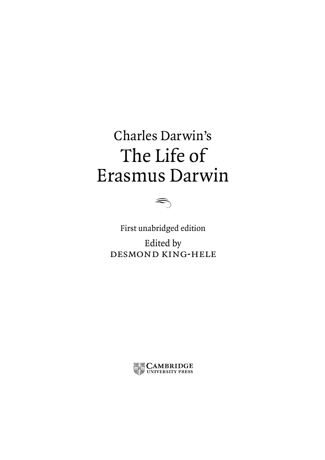# Charles Darwin's The Life of Erasmus Darwin



## First unabridged edition Edited by desmond king-hele

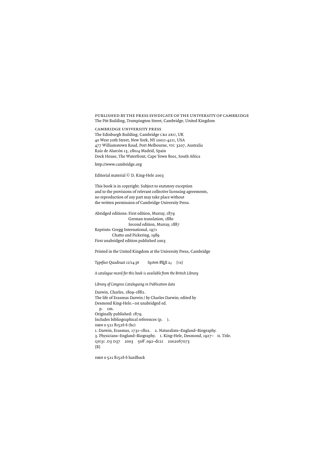published by the press syndicate of the university of cambridge The Pitt Building, Trumpington Street, Cambridge, United Kingdom

cambridge university press The Edinburgh Building, Cambridge CB2 2RU, UK 40 West 20th Street, New York, NY 10011-4211, USA 477 Williamstown Road, Port Melbourne, vic 3207, Australia Ruiz de Alarcón 13, 28014 Madrid, Spain Dock House, The Waterfront, Cape Town 8001, South Africa

http://www.cambridge.org

Editorial material © D. King-Hele 2003

This book is in copyright. Subject to statutory exception and to the provisions of relevant collective licensing agreements, no reproduction of any part may take place without the written permission of Cambridge University Press.

Abridged editions: First edition, Murray, 1879 German translation, 1880 Second edition, Murray, 1887 Reprints: Gregg International, 1971 Chatto and Pickering, 1989 First unabridged edition published 2003

Printed in the United Kingdom at the University Press, Cambridge

*Typeface* Quadraat 11/14 pt Sustem ETEX 2<sub>ε</sub> [TB]

*A catalogue record for this book is available from the British Library*

*Library of Congress Cataloguing in Publication data*

Darwin, Charles, 1809–1882. The life of Erasmus Darwin / by Charles Darwin; edited by Desmond King-Hele.–1st unabridged ed. p. cm. Originally published: 1879. Includes bibliographical references (p. ). isbn0 521 815266(hc) 1. Darwin, Erasmus, 1731–1802. 2. Naturalists–England–Biography. 3. Physicians–England–Biography. i. King-Hele, Desmond, 1927– ii. Title. QH31.D3 D37 2003 508'.092-dc21 2002067073  $[B]$ 

isbn0 521 815266hardback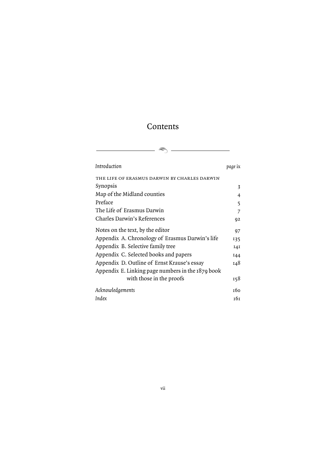### **Contents**

 $\begin{picture}(20,10) \put(0,0){\line(1,0){10}} \put(15,0){\line(1,0){10}} \put(15,0){\line(1,0){10}} \put(15,0){\line(1,0){10}} \put(15,0){\line(1,0){10}} \put(15,0){\line(1,0){10}} \put(15,0){\line(1,0){10}} \put(15,0){\line(1,0){10}} \put(15,0){\line(1,0){10}} \put(15,0){\line(1,0){10}} \put(15,0){\line(1,0){10}} \put(15,0){\line(1$ 

 $\overline{a}$ 

| Introduction                                      | page ix                 |
|---------------------------------------------------|-------------------------|
| THE LIFE OF ERASMUS DARWIN BY CHARLES DARWIN      |                         |
| Synopsis                                          | $\overline{\mathbf{3}}$ |
| Map of the Midland counties                       | 4                       |
| Preface                                           | 5                       |
| The Life of Erasmus Darwin                        | 7                       |
| Charles Darwin's References                       | 92                      |
| Notes on the text, by the editor                  | 97                      |
| Appendix A. Chronology of Erasmus Darwin's life   | 135                     |
| Appendix B. Selective family tree                 | 14I                     |
| Appendix C. Selected books and papers             | 144                     |
| Appendix D. Outline of Ernst Krause's essay       | 148                     |
| Appendix E. Linking page numbers in the 1879 book |                         |
| with those in the proofs                          | 158                     |
| Acknowledgements                                  | тбо                     |
| Index                                             | тбт                     |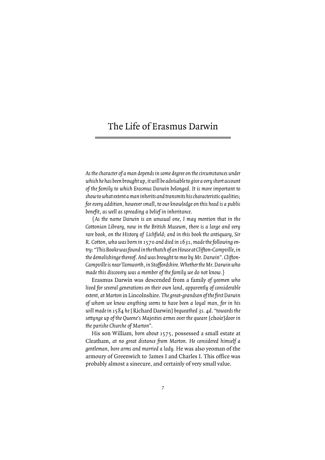*As the character of a man depends in some degree on the circumstances under* which he has been brought up, it will be advisable to give a very short account *of the family to which Erasmus Darwin belonged. It is more important to showtowhat extentamaninheritsandtransmitshischaracteristic qualities; for every addition, however small, to our knowledge on this head is a public benefit, as well as spreading a belief in inheritance.*

*{As the name Darwin is an unusual one, I may mention that in the Cottonian Library, now in the British Museum, there is a large and very rare book, on the History of Lichfield; and in this book the antiquary, Sir R. Cotton, who was born in 1570 and died in 1631, made the following entry: "This BookewasfoundinthethatchofanHouseatClifton-Campville,in the demolishinge thereof. And was brought to mee by Mr. Darwin". Clifton-Campvilleisnear Tamworth,in Staffordshire.WhethertheMr. Darwinwho made this discovery was a member of the family we do not know.}*

Erasmus Darwin was descended from a family *of yeomen who lived for several generations on their own land, apparently of considerable extent, at Marton* in Lincolnshire. *The great-grandson of the first Darwin of whom we know anything seems to have been a loyal man, for in his will made in 1584 he*[Richard Darwin] *bequeathed 3s. 4d. "towards the settynge up of the Queene's Majesties armes over the queare* [choir]*door in the parishe Churche of Marton".*

His son William, *born about 1575,* possessed a small estate at Cleatham, *at no great distance from Marton. He considered himself a gentleman, bore arms and married a lady.* He was also yeoman of the armoury of Greenwich to James I and Charles I. This office was probably almost a sinecure, and certainly of very small value.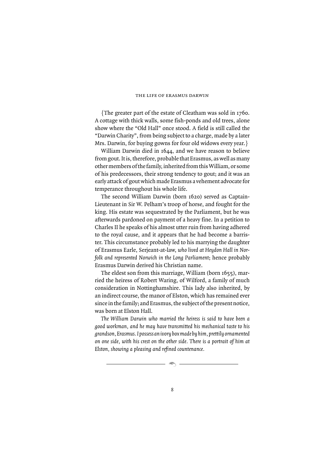*{*The greater part of the estate of Cleatham was sold in 1760. A cottage with thick walls, some fish-ponds and old trees, alone show where the "Old Hall" once stood. A field is still called the "Darwin Charity", from being subject to a charge, made by a later Mrs. Darwin, for buying gowns for four old widows every year.*}*

William Darwin died in 1644, and we have reason to believe from gout. It is, therefore, probable that Erasmus, as well as many other members of the family, inherited from this William, or some of his predecessors, their strong tendency to gout; and it was an early attack of gout which made Erasmus a vehement advocate for temperance throughout his whole life.

The second William Darwin (born 1620) served as Captain-Lieutenant in Sir W. Pelham's troop of horse, and fought for the king. His estate was sequestrated by the Parliament, but he was afterwards pardoned on payment of a heavy fine. In a petition to Charles II he speaks of his almost utter ruin from having adhered to the royal cause, and it appears that he had become a barrister. This circumstance probably led to his marrying the daughter of Erasmus Earle, Serjeant-at-law, *who lived at Heydon Hall in Norfolk and represented Norwich in the Long Parliament*; hence probably Erasmus Darwin derived his Christian name.

The eldest son from this marriage, William (born 1655), married the heiress of Robert Waring, of Wilford, a family of much consideration in Nottinghamshire. This lady also inherited, by an indirect course, the manor of Elston, which has remained ever since in the family; and Erasmus, the subject of the present notice, was born at Elston Hall.

*The William Darwin who married the heiress is said to have been a good workman, and he may have transmitted his mechanical taste to his grandson,Erasmus.Ipossessanivoryboxmadebyhim,prettilyornamented on one side, with his crest on the other side. There is a portrait of him at Elston, showing a pleasing and refined countenance.*

8

 $\ddot{\phantom{1}}$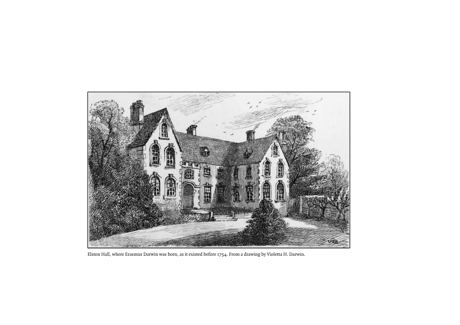

Elston Hall, where Erasmus Darwin was born, as it existed before 1754. From <sup>a</sup> drawing by Violetta H. Darwin.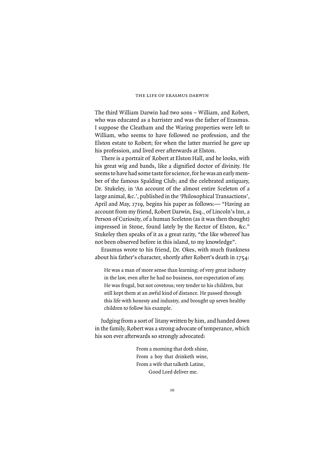The third William Darwin had two sons – William, and Robert, who was educated as a barrister and was the father of Erasmus. I suppose the Cleatham and the Waring properties were left to William, who seems to have followed no profession, and the Elston estate to Robert; for when the latter married he gave up his profession, and lived ever afterwards at Elston.

There is a portrait of Robert at Elston Hall, and he looks, with his great wig and bands, like a dignified doctor of divinity. He seems to have had some taste for science, for hewas an earlymember of the famous Spalding Club; and the celebrated antiquary, Dr. Stukeley, in 'An account of the almost entire Sceleton of a large animal, &c.', published in the 'Philosophical Transactions', April and May, 1719, begins his paper as follows:— "Having an account from my friend, Robert Darwin, Esq., of Lincoln's Inn, a Person of Curiosity, of a human Sceleton (as it was then thought) impressed in Stone, found lately by the Rector of Elston, &c." Stukeley then speaks of it as a great rarity, "the like whereof has not been observed before in this island, to my knowledge".

Erasmus wrote to his friend, Dr. Okes, with much frankness about his father's character, shortly after Robert's death in 1754:

He was a man of more sense than learning; of very great industry in the law, even after he had no business, nor expectation of any. He was frugal, but not covetous; very tender to his children, but still kept them at an awful kind of distance. He passed through this life with honesty and industry, and brought up seven healthy children to follow his example.

Judging from a sort of litany written by him, and handed down in the family, Robert was a strong advocate of temperance, which his son ever afterwards so strongly advocated:

> From a morning that doth shine, From a boy that drinketh wine, From a wife that talketh Latine, Good Lord deliver me.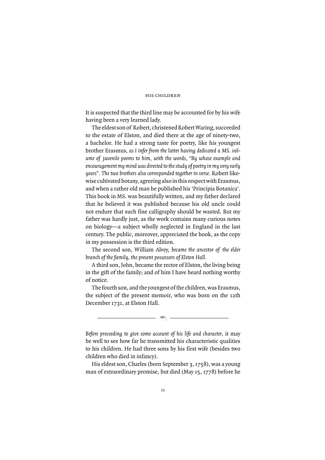It is suspected that the third line may be accounted for by his wife having been a very learned lady.

The eldest son of Robert, christened Robert Waring, succeeded to the estate of Elston, and died there at the age of ninety-two, a bachelor. He had a strong taste for poetry, like his youngest brother Erasmus, *as I infer from the latter having dedicated a MS. volume of juvenile poems to him, with the words, "By whose example and* encouragement my mind was directed to the study of poetry in my very early *years". The two brothers also corresponded together in verse.* Robert likewise cultivated botany, agreeing alsoin this respectwith Erasmus, and when a rather old man he published his 'Principia Botanica'. This book in MS. was beautifully written, and my father declared that he believed it was published because his old uncle could not endure that such fine calligraphy should be wasted. But my father was hardly just, as the work contains many curious notes on biology—a subject wholly neglected in England in the last century. The public, moreover, appreciated the book, as the copy in my possession is the third edition.

The second son, William Alvey, *became the ancestor of the elder branch of the family, the present possessors of Elston Hall.*

A third son, John, became the rector of Elston, the living being in the gift of the family; and of him I have heard nothing worthy of notice.

The fourth son, and the youngest of the children, was Erasmus, the subject of the present memoir, who was born on the 12th December 1731, at Elston Hall.

 $\approx$   $-$ 

*Before proceeding to give some account of his life and character,* it may be well to see how far he transmitted his characteristic qualities to his children. He had three sons by his first wife (besides two children who died in infancy).

His eldest son, Charles (born September 3, 1758), was a young man of extraordinary promise, but died (May 15, 1778) before he

11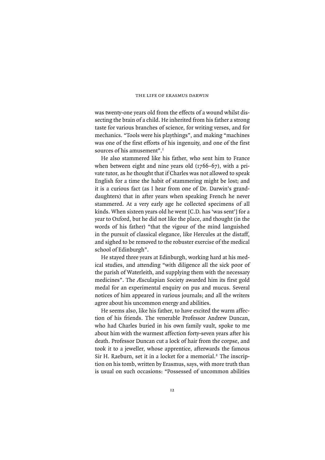was twenty-one years old from the effects of a wound whilst dissecting the brain of a child. He inherited from his father a strong taste for various branches of science, for writing verses, and for mechanics. "Tools were his playthings", and making "machines was one of the first efforts of his ingenuity, and one of the first sources of his amusement".1

He also stammered like his father, who sent him to France when between eight and nine years old (1766–67), with a private tutor, as he thought that if Charles was not allowed to speak English for a time the habit of stammering might be lost; and it is a curious fact (as I hear from one of Dr. Darwin's granddaughters) that in after years when speaking French he never stammered. At a very early age he collected specimens of all kinds. When sixteen years old he went [C.D. has 'was sent'] for a year to Oxford, but he did not like the place, and thought (in the words of his father) "that the vigour of the mind languished in the pursuit of classical elegance, like Hercules at the distaff, and sighed to be removed to the robuster exercise of the medical school of Edinburgh".

He stayed three years at Edinburgh, working hard at his medical studies, and attending "with diligence all the sick poor of the parish of Waterleith, and supplying them with the necessary medicines". The Æsculapian Society awarded him its first gold medal for an experimental enquiry on pus and mucus. Several notices of him appeared in various journals; and all the writers agree about his uncommon energy and abilities.

He seems also, like his father, to have excited the warm affection of his friends. The venerable Professor Andrew Duncan, who had Charles buried in his own family vault, spoke to me about him with the warmest affection forty-seven years after his death. Professor Duncan cut a lock of hair from the corpse, and took it to a jeweller, whose apprentice, afterwards the famous Sir H. Raeburn, set it in a locket for a memorial.<sup>2</sup> The inscription on his tomb, written by Erasmus, says, with more truth than is usual on such occasions: "Possessed of uncommon abilities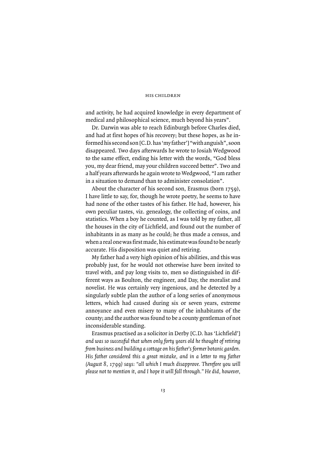and activity, he had acquired knowledge in every department of medical and philosophical science, much beyond his years".

Dr. Darwin was able to reach Edinburgh before Charles died, and had at first hopes of his recovery; but these hopes, as he informedhissecondson [C.D.has'my father']"withanguish",soon disappeared. Two days afterwards he wrote to Josiah Wedgwood to the same effect, ending his letter with the words, "God bless you, my dear friend, may your children succeed better". Two and a half years afterwards he again wrote to Wedgwood, "I am rather in a situation to demand than to administer consolation".

About the character of his second son, Erasmus (born 1759), I have little to say, for, though he wrote poetry, he seems to have had none of the other tastes of his father. He had, however, his own peculiar tastes, viz. genealogy, the collecting of coins, and statistics. When a boy he counted, as I was told by my father, all the houses in the city of Lichfield, and found out the number of inhabitants in as many as he could; he thus made a census, and when a real onewas firstmade, his estimatewas found to be nearly accurate. His disposition was quiet and retiring.

My father had a very high opinion of his abilities, and this was probably just, for he would not otherwise have been invited to travel with, and pay long visits to, men so distinguished in different ways as Boulton, the engineer, and Day, the moralist and novelist. He was certainly very ingenious, and he detected by a singularly subtle plan the author of a long series of anonymous letters, which had caused during six or seven years, extreme annoyance and even misery to many of the inhabitants of the county; and the author was found to be a county gentleman of not inconsiderable standing.

Erasmus practised as a solicitor in Derby [C.D. has 'Lichfield'] *and was so successful that when only forty years old he thought of retiring from business and building a cottage on his father's former botanic garden. His father considered this a great mistake, and in a letter to my father (August 8, 1799) says: "all which I much disapprove. Therefore you will please not to mention it, and I hope it will fall through." He did, however,*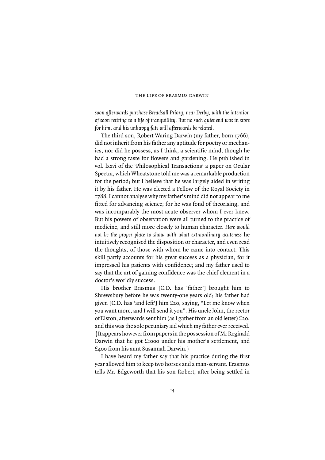*soon afterwards purchase Breadsall Priory, near Derby, with the intention of soon retiring to a life of tranquillity. But no such quiet end was in store for him, and his unhappy fate will afterwards be related.*

The third son, Robert Waring Darwin (my father, born 1766), did not inherit from his father any aptitude for poetry or mechanics, nor did he possess, as I think, a scientific mind, though he had a strong taste for flowers and gardening. He published in vol. lxxvi of the 'Philosophical Transactions' a paper on Ocular Spectra, which Wheatstone told me was a remarkable production for the period; but I believe that he was largely aided in writing it by his father. He was elected a Fellow of the Royal Society in 1788. I cannot analyse why my father's mind did not appear to me fitted for advancing science; for he was fond of theorising, and was incomparably the most acute observer whom I ever knew. But his powers of observation were all turned to the practice of medicine, and still more closely to human character. *Here would not be the proper place to show with what extraordinary acuteness* he intuitively recognised the disposition or character, and even read the thoughts, of those with whom he came into contact. This skill partly accounts for his great success as a physician, for it impressed his patients with confidence; and my father used to say that the art of gaining confidence was the chief element in a doctor's worldly success.

His brother Erasmus [C.D. has 'father'] brought him to Shrewsbury before he was twenty-one years old; his father had given [C.D. has 'and left'] him £20, saying, "Let me know when you want more, and I will send it you". His uncle John, the rector of Elston, afterwards sent him (as I gather from an old letter) £20, and this was the sole pecuniary aid which my father ever received. *{*It appears however from papersin the possession ofMr Reginald Darwin that he got £1000 under his mother's settlement, and £400 from his aunt Susannah Darwin.*}*

I have heard my father say that his practice during the first year allowed him to keep two horses and a man-servant. Erasmus tells Mr. Edgeworth that his son Robert, after being settled in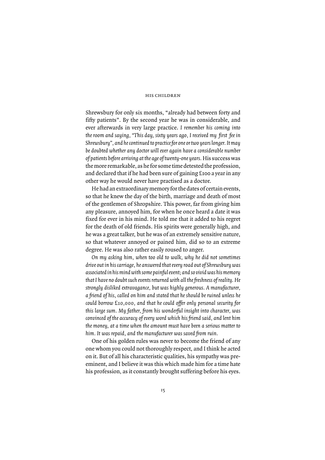Shrewsbury for only six months, "already had between forty and fifty patients". By the second year he was in considerable, and ever afterwards in very large practice. *I remember his coming into the room and saying, "This day, sixty years ago, I received my first fee in Shrewsbury", and hecontinuedto practicefor one ortwo yearslonger.It may be doubted whether any doctor will ever again have a considerable number of patients before arriving at the age of twenty-one years.*His success was themore remarkable, as he for some time detested the profession, and declared that if he had been sure of gaining £100 a year in any other way he would never have practised as a doctor.

He had an extraordinary memory for the dates of certain events, so that he knew the day of the birth, marriage and death of most of the gentlemen of Shropshire. This power, far from giving him any pleasure, annoyed him, for when he once heard a date it was fixed for ever in his mind. He told me that it added to his regret for the death of old friends. His spirits were generally high, and he was a great talker, but he was of an extremely sensitive nature, so that whatever annoyed or pained him, did so to an extreme degree. He was also rather easily roused to anger.

*On my asking him, when too old to walk, why he did not sometimes drive out in hiscarriage, he answered that every road out of Shrewsbury was associatedinhismindwith some painful event;and so vividwashismemory that I have no doubt such events returned with all the freshness of reality. He strongly disliked extravagance, but was highly generous. A manufacturer, a friend of his, called on him and stated that he should be ruined unless he could borrow* £*10,000, and that he could offer only personal security for this large sum. My father, from his wonderful insight into character, was convinced of the accuracy of every word which his friend said, and lent him the money, at a time when the amount must have been a serious matter to him. It was repaid, and the manufacturer was saved from ruin.*

One of his golden rules was never to become the friend of any one whom you could not thoroughly respect, and I think he acted on it. But of all his characteristic qualities, his sympathy was preeminent, and I believe it was this which made him for a time hate his profession, as it constantly brought suffering before his eyes.

15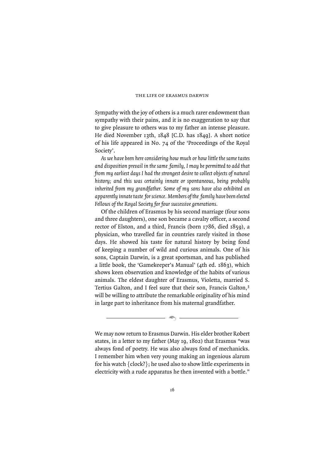Sympathy with the joy of others is a much rarer endowment than sympathy with their pains, and it is no exaggeration to say that to give pleasure to others was to my father an intense pleasure. He died November 13th, 1848 [C.D. has 1849]. A short notice of his life appeared in No. 74 of the 'Proceedings of the Royal Society'.

*As we have been here considering how much or how little the same tastes and disposition prevail in the same family, I may be permitted to add that from my earliest days I had the strongest desire to collect objects of natural history; and this was certainly innate or spontaneous, being probably inherited from my grandfather. Some of my sons have also exhibited an apparently innate taste for science. Members of the family have been elected Fellows of the Royal Society for four successive generations.*

Of the children of Erasmus by his second marriage (four sons and three daughters), one son became a cavalry officer, a second rector of Elston, and a third, Francis (born 1786, died 1859), a physician, who travelled far in countries rarely visited in those days. He showed his taste for natural history by being fond of keeping a number of wild and curious animals. One of his sons, Captain Darwin, is a great sportsman, and has published a little book, the 'Gamekeeper's Manual' (4th ed. 1863), which shows keen observation and knowledge of the habits of various animals. The eldest daughter of Erasmus, Violetta, married S. Tertius Galton, and I feel sure that their son, Francis Galton,3 will be willing to attribute the remarkable originality of his mind in large part to inheritance from his maternal grandfather.

We may now return to Erasmus Darwin. His elder brother Robert states, in a letter to my father (May 19, 1802) that Erasmus "was always fond of poetry. He was also always fond of mechanicks. I remember him when very young making an ingenious alarum for his watch *{*clock?*}*; he used also to show little experiments in electricity with a rude apparatus he then invented with a bottle."

 $\widehat{\mathscr{D}}$ .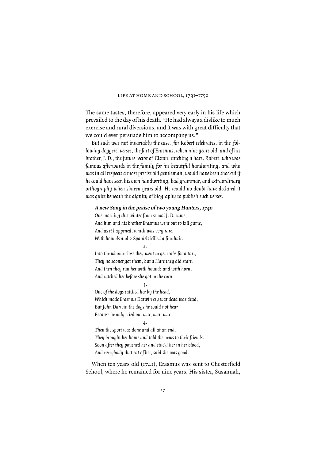The same tastes, therefore, appeared very early in his life which prevailed to the day of his death. "He had always a dislike to much exercise and rural diversions, and it was with great difficulty that we could ever persuade him to accompany us."

*But such was not invariably the case, for Robert celebrates, in the following doggerel verses, the fact of Erasmus, when nine years old, and of his brother, J. D., the future rector of Elston, catching a hare. Robert, who was famous afterwards in the family for his beautiful handwriting, and who was in all respects a most precise old gentleman, would have been shocked if he could have seen his own handwriting, bad grammar, and extraordinary orthography when sixteen years old. He would no doubt have declared it was quite beneath the dignity of biography to publish such verses.*

#### **<sup>A</sup> new Song in the praise of two young Hunters, 1740**

*One morning this winter from school J. D. came, And him and his brother Erasmus went out to kill game, And as it happened, which was very rare, With hounds and 2 Spaniels killed a fine hair.*

*2.*

*Into the whome close they went to get crabs for a tart, They no sooner got them, but a Hare they did start; And then they run her with hounds and with horn, And catched her before she got to the corn.*

*3.*

*One of the dogs catched her by the head, Which made Erasmus Darwin cry war dead war dead, But John Darwin the dogs he could not hear Because he only cried out war, war, war.*

*4.*

*Then the sport was done and all at an end. They brought her home and told the news to their friends. Soon after they pouched her and stue'd her in her blood, And everybody that eat of her, said she was good.*

When ten years old (1741), Erasmus was sent to Chesterfield School, where he remained for nine years. His sister, Susannah,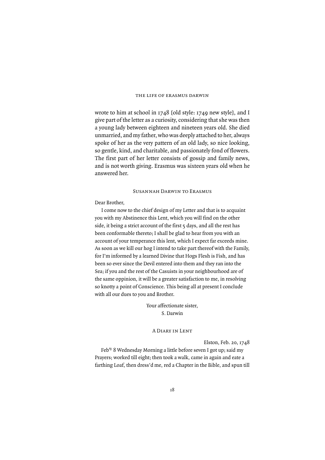wrote to him at school in 1748 [old style: 1749 new style], and I give part of the letter as a curiosity, considering that she was then a young lady between eighteen and nineteen years old. She died unmarried, and my father, who was deeply attached to her, always spoke of her as the very pattern of an old lady, so nice looking, so gentle, kind, and charitable, and passionately fond of flowers. The first part of her letter consists of gossip and family news, and is not worth giving. Erasmus was sixteen years old when he answered her.

#### Susannah Darwin to Erasmus

Dear Brother,

I come now to the chief design of my Letter and that is to acquaint you with my Abstinence this Lent, which you will find on the other side, it being a strict account of the first  $\overline{5}$  days, and all the rest has been conformable thereto; I shall be glad to hear from you with an account of your temperance this lent, which I expect far exceeds mine. As soon as we kill our hog I intend to take part thereof with the Family, for I'm informed by a learned Divine that Hogs Flesh is Fish, and has been so ever since the Devil entered into them and they ran into the Sea; if you and the rest of the Casuists in your neighbourhood are of the same oppinion, it will be a greater satisfaction to me, in resolving so knotty a point of Conscience. This being all at present I conclude with all our dues to you and Brother.

> Your affectionate sister, S*.*Darwin

#### A Diary in Lent

Elston, Feb. 20, 1748

Feb*ry* 8 Wednesday Morning a little before seven I got up; said my Prayers; worked till eight; then took a walk, came in again and eate a farthing Loaf, then dress'd me, red a Chapter in the Bible, and spun till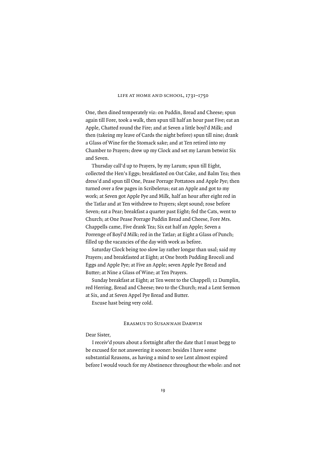One, then dined temperately viz: on Puddin, Bread and Cheese; spun again till Fore, took a walk, then spun till half an hour past Five; eat an Apple, Chatted round the Fire; and at Seven a little boyl'd Milk; and then (takeing my leave of Cards the night before) spun till nine; drank a Glass of Wine for the Stomack sake; and at Ten retired into my Chamber to Prayers; drew up my Clock and set my Larum betwixt Six and Seven.

Thursday call'd up to Prayers, by my Larum; spun till Eight, collected the Hen's Eggs; breakfasted on Oat Cake, and Balm Tea; then dress'd and spun till One, Pease Porrage Pottatoes and Apple Pye; then turned over a few pages in Scribelerus; eat an Apple and got to my work; at Seven got Apple Pye and Milk, half an hour after eight red in the Tatlar and at Ten withdrew to Prayers; slept sound; rose before Seven; eat a Pear; breakfast a quarter past Eight; fed the Cats, went to Church; at One Pease Porrage Puddin Bread and Cheese, Fore Mrs. Chappells came, Five drank Tea; Six eat half an Apple; Seven a Porrenge of Boyl'd Milk; red in the Tatlar; at Eight a Glass of Punch; filled up the vacancies of the day with work as before.

Saturday Clock being too slow lay rather longar than usal; said my Prayers; and breakfasted at Eight; at One broth Pudding Brocoli and Eggs and Apple Pye; at Five an Apple; seven Apple Pye Bread and Butter; at Nine a Glass of Wine; at Ten Prayers.

Sunday breakfast at Eight; at Ten went to the Chappell; 12 Dumplin, red Herring, Bread and Cheese; two to the Church; read a Lent Sermon at Six, and at Seven Appel Pye Bread and Butter.

Excuse hast being very cold.

#### Erasmus to Susannah Darwin

#### Dear Sister,

I receiv'd yours about a fortnight after the date that I must begg to be excused for not answering it sooner: besides I have some substantial Reasons, as having a mind to see Lent almost expired before I would vouch for my Abstinence throughout the whole: and not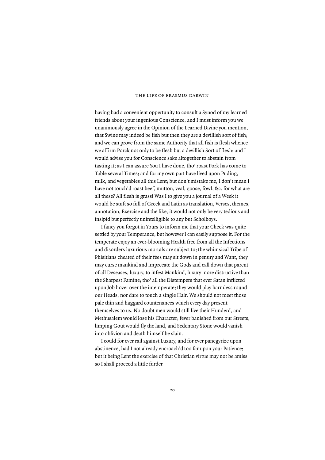having had a convenient oppertunity to consult a Synod of my learned friends about your ingenious Conscience, and I must inform you we unanimously agree in the Opinion of the Learned Divine you mention, that Swine may indeed be fish but then they are a devillish sort of fish; and we can prove from the same Authority that all fish is flesh whence we affirm Porck not only to be flesh but a devillish Sort of flesh; and I would advise you for Conscience sake altogether to abstain from tasting it; as I can assure You I have done, tho' roast Pork has come to Table several Times; and for my own part have lived upon Puding, milk, and vegetables all this Lent; but don't mistake me, I don't mean I have not touch'd roast beef, mutton, veal, goose, fowl, &c. for what are all these? All flesh is grass! Was I to give you a journal of a Week it would be stuft so full of Greek and Latin as translation, Verses, themes, annotation, Exercise and the like, it would not only be very tedious and insipid but perfectly unintelligible to any but Scholboys.

I fancy you forgot in Yours to inform me that your Cheek was quite settled by your Temperance, but however I can easily suppose it. For the temperate enjoy an ever-blooming Health free from all the Infections and disorders luxurious mortals are subject to; the whimsical Tribe of Phisitians cheated of their fees may sit down in penury and Want, they may curse mankind and imprecate the Gods and call down that parent of all Deseases, luxury, to infest Mankind, luxury more distructive than the Sharpest Famine; tho' all the Distempers that ever Satan inflicted upon Job hover over the intemperate; they would play harmless round our Heads, nor dare to touch a single Hair. We should not meet those pale thin and haggard countenances which every day present themselves to us. No doubt men would still live their Hunderd, and Methusalem would lose his Character; fever banished from our Streets, limping Gout would fly the land, and Sedentary Stone would vanish into oblivion and death himself be slain.

I could for ever rail against Luxury, and for ever panegyrize upon abstinence, had I not already encroach'd too far upon your Patience; but it being Lent the exercise of that Christian virtue may not be amiss so I shall proceed a little furder—

20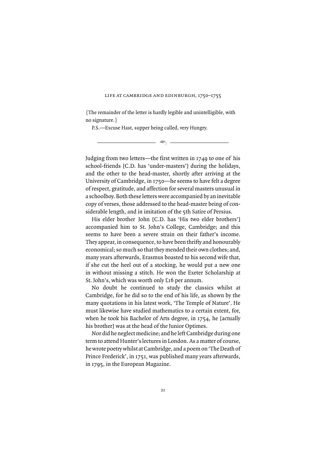*{*The remainder of the letter is hardly legible and unintelligible, with no signature.*}*

 $\overline{\phantom{a}}$   $\overline{\phantom{a}}$ 

P.S.—Excuse Hast, supper being called, very Hungry.

Judging from two letters—the first written in 1749 to one of his school-friends [C.D. has 'under-masters'] during the holidays, and the other to the head-master, shortly after arriving at the University of Cambridge, in 1750—he seems to have felt a degree of respect, gratitude, and affection for several masters unusual in a schoolboy. Both these letters were accompanied by an inevitable copy of verses, those addressed to the head-master being of considerable length, and in imitation of the 5th Satire of Persius.

His elder brother John [C.D. has 'His two elder brothers'] accompanied him to St. John's College, Cambridge; and this seems to have been a severe strain on their father's income. They appear, in consequence, to have been thrifty and honourably economical; so much so that they mended their own clothes; and, many years afterwards, Erasmus boasted to his second wife that, if she cut the heel out of a stocking, he would put a new one in without missing a stitch. He won the Exeter Scholarship at St. John's, which was worth only £16 per annum.

No doubt he continued to study the classics whilst at Cambridge, for he did so to the end of his life, as shown by the many quotations in his latest work, 'The Temple of Nature'. He must likewise have studied mathematics to a certain extent, for, when he took his Bachelor of Arts degree, in 1754, he [actually his brother] was at the head of the Junior Optimes.

Nor did he neglect medicine; and he left Cambridge during one term to attend Hunter'slectures in London. As a matter of course, he wrote poetry whilst at Cambridge, and a poem on 'The Death of Prince Frederick', in 1751, was published many years afterwards, in 1795, in the European Magazine.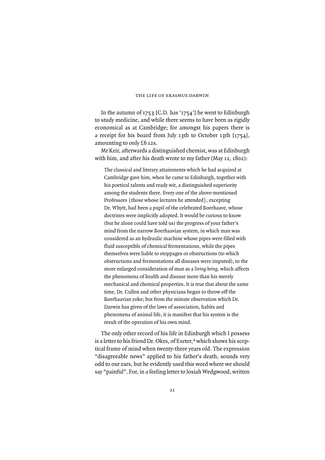In the autumn of 1753 [C.D. has '1754'] he went to Edinburgh to study medicine, and while there seems to have been as rigidly economical as at Cambridge; for amongst his papers there is a receipt for his board from July 13th to October 13th [1754], amounting to only £6 12s.

Mr Keir, afterwards a distinguished chemist, was at Edinburgh with him, and after his death wrote to my father (May 12, 1802):

The classical and literary attainments which he had acquired at Cambridge gave him, when he came to Edinburgh, together with his poetical talents and ready wit, a distinguished superiority among the students there. Every one of the above-mentioned Professors *{*those whose lectures he attended*}*, excepting Dr. Whytt, had been a pupil of the celebrated Boerhaave, whose doctrines were implicitly adopted. It would be curious to know (but he alone could have told us) the progress of your father's mind from the narrow Boerhaavian system, in which man was considered as an hydraulic machine whose pipes were filled with fluid susceptible of chemical fermentations, while the pipes themselves were liable to stoppages or obstructions (to which obstructions and fermentations all diseases were imputed), to the more enlarged consideration of man as a *living being,* which affects the phenomena of health and disease more than his merely mechanical and chemical properties. It is true that about the same time, Dr. Cullen and other physicians began to throw off the Boerhaavian yoke; but from the minute observation which Dr. Darwin has given of the laws of association, habits and phenomena of animal life, it is manifest that his system is the result of the operation of his own mind.

The only other record of his life in Edinburgh which I possess is a letter to his friend Dr. Okes, of Exeter,<sup>4</sup> which shows his sceptical frame of mind when twenty-three years old. The expression "disagreeable news" applied to his father's death, sounds very odd to our ears, but he evidently used this word where we should say "painful". For, in a feeling letter to Josiah Wedgwood, written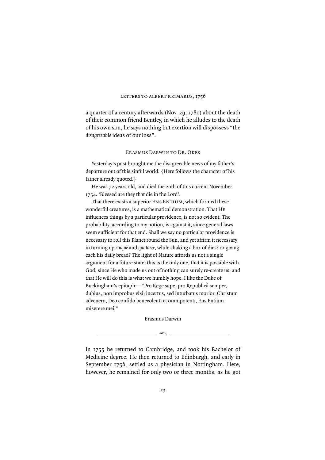a quarter of a century afterwards (Nov. 29, 1780) about the death of their common friend Bentley, in which he alludes to the death of his own son, he says nothing but exertion will dispossess "the *disagreeable* ideas of our loss".

#### Erasmus Darwin to Dr. Okes

Yesterday's post brought me the disagreeable news of my father's departure out of this sinful world. *{*Here follows the character of his father already quoted.*}*

He was 72 years old, and died the 20th of this current November 1754. 'Blessed are they that die in the Lord'.

That there exists a superior ENS ENTIUM, which formed these wonderful creatures, is a mathematical demonstration. That He influences things by a particular providence, is not so evident. The probability, according to my notion, is against it, since general laws seem sufficient for that end. Shall we say no particular providence is necessary to roll this Planet round the Sun, and yet affirm it necessary in turning up *cinque* and *quatorze*, while shaking a box of dies? or giving each his daily bread? The light of Nature affords us not a single argument for a future state; this is the only one, that it is possible with God, since He who made us out of nothing can surely re-create us; and that He will do this is what we humbly hope. I like the Duke of Buckingham's epitaph— "Pro Rege sæpe, pro Republicâ semper, dubius, non improbus vixi; incertus, sed inturbatus morior. Christum advenero, Deo confido benevolenti et omnipotenti, Ens Entium miserere mei!"

Erasmus Darwin

 $\Rightarrow$ .

In 1755 he returned to Cambridge, and took his Bachelor of Medicine degree. He then returned to Edinburgh, and early in September 1756, settled as a physician in Nottingham. Here, however, he remained for only two or three months, as he got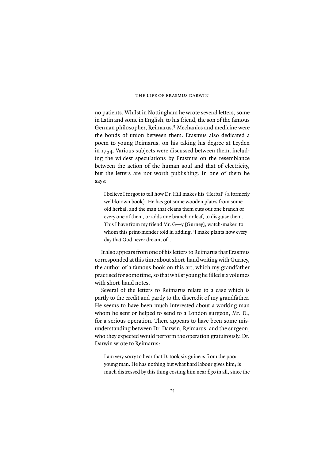no patients. Whilst in Nottingham he wrote several letters, some in Latin and some in English, to his friend, the son of the famous German philosopher, Reimarus.5 Mechanics and medicine were the bonds of union between them. Erasmus also dedicated a poem to young Reimarus, on his taking his degree at Leyden in 1754. Various subjects were discussed between them, including the wildest speculations by Erasmus on the resemblance between the action of the human soul and that of electricity, but the letters are not worth publishing. In one of them he says:

I believe I forgot to tell how Dr. Hill makes his 'Herbal' *{*a formerly well-known book*}*. He has got some wooden plates from some old herbal, and the man that cleans them cuts out one branch of every one of them, or adds one branch or leaf, to disguise them. This I have from my friend Mr. G—y [Gurney], watch-maker, to whom this print-mender told it, adding, 'I make plants now every day that God never dreamt of'.

It also appears from one of his letters to Reimarus that Erasmus corresponded at this time about short-hand writing with Gurney, the author of a famous book on this art, which my grandfather practised for some time, so that whilst young he filled six volumes with short-hand notes.

Several of the letters to Reimarus relate to a case which is partly to the credit and partly to the discredit of my grandfather. He seems to have been much interested about a working man whom he sent or helped to send to a London surgeon, Mr. D., for a serious operation. There appears to have been some misunderstanding between Dr. Darwin, Reimarus, and the surgeon, who they expected would perform the operation gratuitously. Dr. Darwin wrote to Reimarus:

I am very sorry to hear that D. took six guineas from the poor young man. He has nothing but what hard labour gives him; is much distressed by this thing costing him near  $\pounds$ 30 in all, since the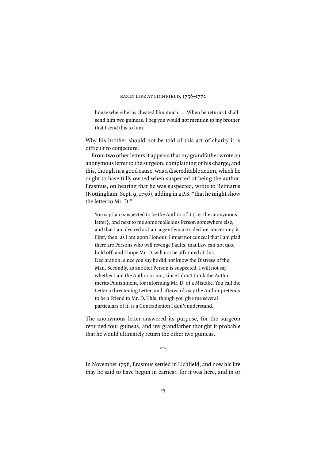house where he lay cheated him much*....*When he returns I shall send him two guineas. I beg you would not mention to my brother that I send this to him.

Why his brother should not be told of this act of charity it is difficult to conjecture.

From two other letters it appears that my grandfather wrote an anonymous letter to the surgeon, complaining of his charge; and this, though in a good cause, was a discreditable action, which he ought to have fully owned when suspected of being the author. Erasmus, on hearing that he was suspected, wrote to Reimarus (Nottingham, Sept. 9, 1756), adding in a P.S. "that he might show the letter to Mr. D."

You say I am suspected to be the Author of it *{*i.e. the anonymous letter*}*, and next to me some malicious Person somewhere else, and that I am desired as I am a gentleman to declare concerning it. First, then, as I am upon Honour, I must not conceal that I am glad there are Persons who will revenge Faults, that Law can not take hold off: and I hope Mr. D. will not be affronted at this Declaration; since you say he did not know the Distress of the Man. Secondly, as another Person is suspected, I will not say whether I am the Author or not, since I don't think the Author merits Punishment, for informing Mr. D. of a Mistake. You call the Letter a threatening Letter, and afterwards say the Author pretends to be a Friend to Mr. D. This, though you give me several particulars of it, is a Contradiction I don't understand.

The anonymous letter answered its purpose, for the surgeon returned four guineas, and my grandfather thought it probable that he would ultimately return the other two guineas.

 $\ddot{\phantom{1}}$ 

In November 1756, Erasmus settled in Lichfield, and now his life may be said to have begun in earnest; for it was here, and in or